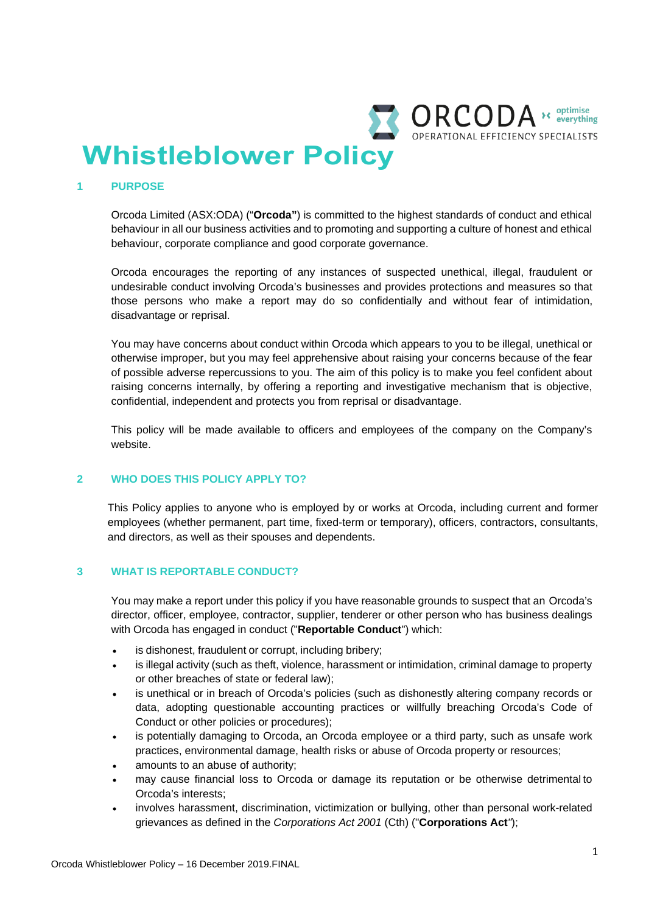

#### **1 PURPOSE**

Orcoda Limited (ASX:ODA) ("**Orcoda"**) is committed to the highest standards of conduct and ethical behaviour in all our business activities and to promoting and supporting a culture of honest and ethical behaviour, corporate compliance and good corporate governance.

Orcoda encourages the reporting of any instances of suspected unethical, illegal, fraudulent or undesirable conduct involving Orcoda's businesses and provides protections and measures so that those persons who make a report may do so confidentially and without fear of intimidation, disadvantage or reprisal.

You may have concerns about conduct within Orcoda which appears to you to be illegal, unethical or otherwise improper, but you may feel apprehensive about raising your concerns because of the fear of possible adverse repercussions to you. The aim of this policy is to make you feel confident about raising concerns internally, by offering a reporting and investigative mechanism that is objective, confidential, independent and protects you from reprisal or disadvantage.

This policy will be made available to officers and employees of the company on the Company's website.

### **2 WHO DOES THIS POLICY APPLY TO?**

This Policy applies to anyone who is employed by or works at Orcoda, including current and former employees (whether permanent, part time, fixed-term or temporary), officers, contractors, consultants, and directors, as well as their spouses and dependents.

#### **3 WHAT IS REPORTABLE CONDUCT?**

You may make a report under this policy if you have reasonable grounds to suspect that an Orcoda's director, officer, employee, contractor, supplier, tenderer or other person who has business dealings with Orcoda has engaged in conduct ("**Reportable Conduct**") which:

- is dishonest, fraudulent or corrupt, including bribery;
- is illegal activity (such as theft, violence, harassment or intimidation, criminal damage to property or other breaches of state or federal law);
- is unethical or in breach of Orcoda's policies (such as dishonestly altering company records or data, adopting questionable accounting practices or willfully breaching Orcoda's Code of Conduct or other policies or procedures);
- is potentially damaging to Orcoda, an Orcoda employee or a third party, such as unsafe work practices, environmental damage, health risks or abuse of Orcoda property or resources;
- amounts to an abuse of authority;
- may cause financial loss to Orcoda or damage its reputation or be otherwise detrimental to Orcoda's interests;
- involves harassment, discrimination, victimization or bullying, other than personal work-related grievances as defined in the *Corporations Act 2001* (Cth) ("**Corporations Act***"*);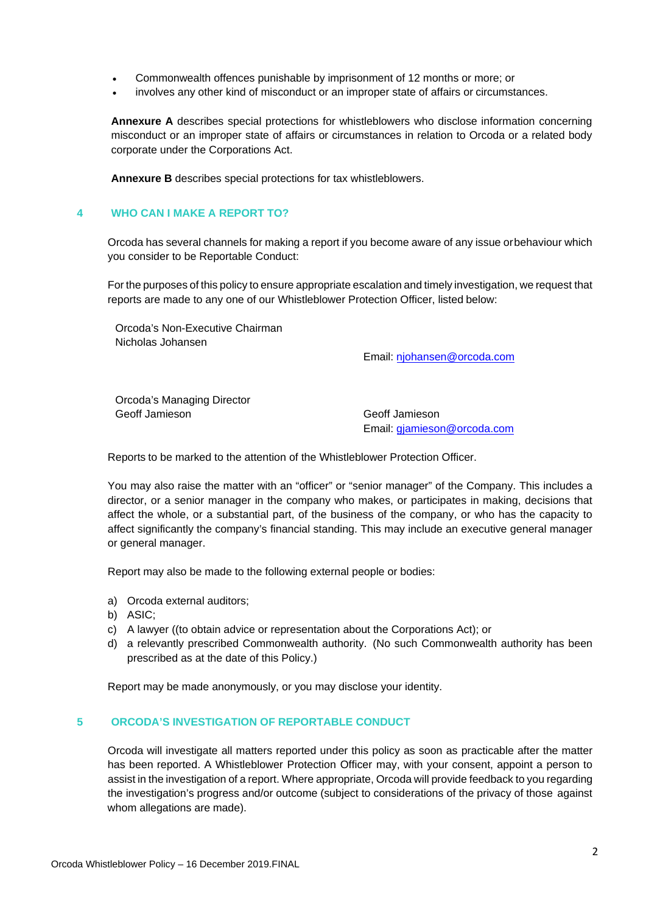- Commonwealth offences punishable by imprisonment of 12 months or more; or
- involves any other kind of misconduct or an improper state of affairs or circumstances.

**Annexure A** describes special protections for whistleblowers who disclose information concerning misconduct or an improper state of affairs or circumstances in relation to Orcoda or a related body corporate under the Corporations Act.

**Annexure B** describes special protections for tax whistleblowers.

## **4 WHO CAN I MAKE A REPORT TO?**

Orcoda has several channels for making a report if you become aware of any issue orbehaviour which you consider to be Reportable Conduct:

For the purposes of this policy to ensure appropriate escalation and timely investigation, we request that reports are made to any one of our Whistleblower Protection Officer, listed below:

Orcoda's Non-Executive Chairman Nicholas Johansen

Email: njohansen@orcoda.com

Orcoda's Managing Director Geoff Jamieson Geoff Jamieson

Email: gjamieson@orcoda.com

Reports to be marked to the attention of the Whistleblower Protection Officer.

You may also raise the matter with an "officer" or "senior manager" of the Company. This includes a director, or a senior manager in the company who makes, or participates in making, decisions that affect the whole, or a substantial part, of the business of the company, or who has the capacity to affect significantly the company's financial standing. This may include an executive general manager or general manager.

Report may also be made to the following external people or bodies:

- a) Orcoda external auditors;
- b) ASIC;
- c) A lawyer ((to obtain advice or representation about the Corporations Act); or
- d) a relevantly prescribed Commonwealth authority. (No such Commonwealth authority has been prescribed as at the date of this Policy.)

Report may be made anonymously, or you may disclose your identity.

# **5 ORCODA'S INVESTIGATION OF REPORTABLE CONDUCT**

Orcoda will investigate all matters reported under this policy as soon as practicable after the matter has been reported. A Whistleblower Protection Officer may, with your consent, appoint a person to assist in the investigation of a report. Where appropriate, Orcoda will provide feedback to you regarding the investigation's progress and/or outcome (subject to considerations of the privacy of those against whom allegations are made).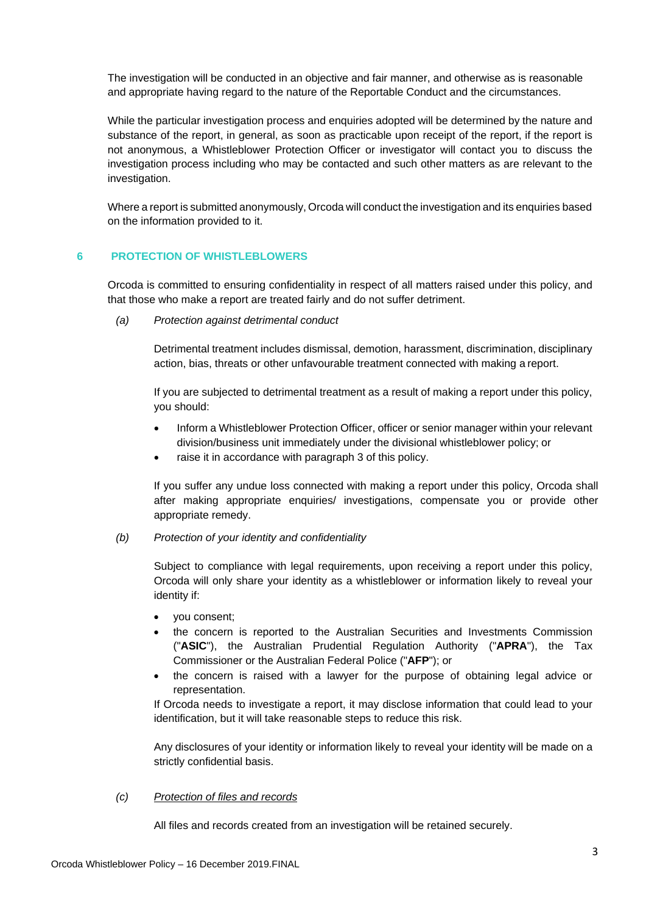The investigation will be conducted in an objective and fair manner, and otherwise as is reasonable and appropriate having regard to the nature of the Reportable Conduct and the circumstances.

While the particular investigation process and enquiries adopted will be determined by the nature and substance of the report, in general, as soon as practicable upon receipt of the report, if the report is not anonymous, a Whistleblower Protection Officer or investigator will contact you to discuss the investigation process including who may be contacted and such other matters as are relevant to the investigation.

Where a report is submitted anonymously, Orcoda will conduct the investigation and its enquiries based on the information provided to it.

# **6 PROTECTION OF WHISTLEBLOWERS**

Orcoda is committed to ensuring confidentiality in respect of all matters raised under this policy, and that those who make a report are treated fairly and do not suffer detriment.

*(a) Protection against detrimental conduct*

Detrimental treatment includes dismissal, demotion, harassment, discrimination, disciplinary action, bias, threats or other unfavourable treatment connected with making a report.

If you are subjected to detrimental treatment as a result of making a report under this policy, you should:

- Inform a Whistleblower Protection Officer, officer or senior manager within your relevant division/business unit immediately under the divisional whistleblower policy; or
- raise it in accordance with paragraph 3 of this policy.

If you suffer any undue loss connected with making a report under this policy, Orcoda shall after making appropriate enquiries/ investigations, compensate you or provide other appropriate remedy.

*(b) Protection of your identity and confidentiality*

Subject to compliance with legal requirements, upon receiving a report under this policy, Orcoda will only share your identity as a whistleblower or information likely to reveal your identity if:

- you consent;
- the concern is reported to the Australian Securities and Investments Commission ("**ASIC**"), the Australian Prudential Regulation Authority ("**APRA**"), the Tax Commissioner or the Australian Federal Police ("**AFP**"); or
- the concern is raised with a lawyer for the purpose of obtaining legal advice or representation.

If Orcoda needs to investigate a report, it may disclose information that could lead to your identification, but it will take reasonable steps to reduce this risk.

Any disclosures of your identity or information likely to reveal your identity will be made on a strictly confidential basis.

### *(c) Protection of files and records*

All files and records created from an investigation will be retained securely.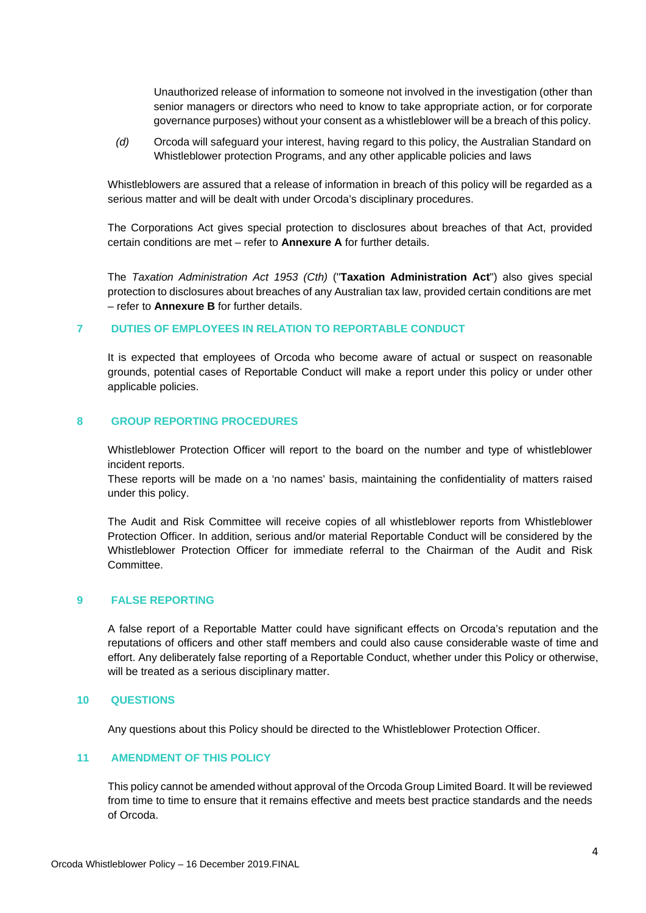Unauthorized release of information to someone not involved in the investigation (other than senior managers or directors who need to know to take appropriate action, or for corporate governance purposes) without your consent as a whistleblower will be a breach of this policy.

*(d)* Orcoda will safeguard your interest, having regard to this policy, the Australian Standard on Whistleblower protection Programs, and any other applicable policies and laws

Whistleblowers are assured that a release of information in breach of this policy will be regarded as a serious matter and will be dealt with under Orcoda's disciplinary procedures.

The Corporations Act gives special protection to disclosures about breaches of that Act, provided certain conditions are met – refer to **Annexure A** for further details.

The *Taxation Administration Act 1953 (Cth)* ("**Taxation Administration Act**") also gives special protection to disclosures about breaches of any Australian tax law, provided certain conditions are met – refer to **Annexure B** for further details.

## **7 DUTIES OF EMPLOYEES IN RELATION TO REPORTABLE CONDUCT**

It is expected that employees of Orcoda who become aware of actual or suspect on reasonable grounds, potential cases of Reportable Conduct will make a report under this policy or under other applicable policies.

## **8 GROUP REPORTING PROCEDURES**

Whistleblower Protection Officer will report to the board on the number and type of whistleblower incident reports.

These reports will be made on a 'no names' basis, maintaining the confidentiality of matters raised under this policy.

The Audit and Risk Committee will receive copies of all whistleblower reports from Whistleblower Protection Officer. In addition, serious and/or material Reportable Conduct will be considered by the Whistleblower Protection Officer for immediate referral to the Chairman of the Audit and Risk Committee.

## **9 FALSE REPORTING**

A false report of a Reportable Matter could have significant effects on Orcoda's reputation and the reputations of officers and other staff members and could also cause considerable waste of time and effort. Any deliberately false reporting of a Reportable Conduct, whether under this Policy or otherwise, will be treated as a serious disciplinary matter.

#### **10 QUESTIONS**

Any questions about this Policy should be directed to the Whistleblower Protection Officer.

## **11 AMENDMENT OF THIS POLICY**

This policy cannot be amended without approval of the Orcoda Group Limited Board. It will be reviewed from time to time to ensure that it remains effective and meets best practice standards and the needs of Orcoda.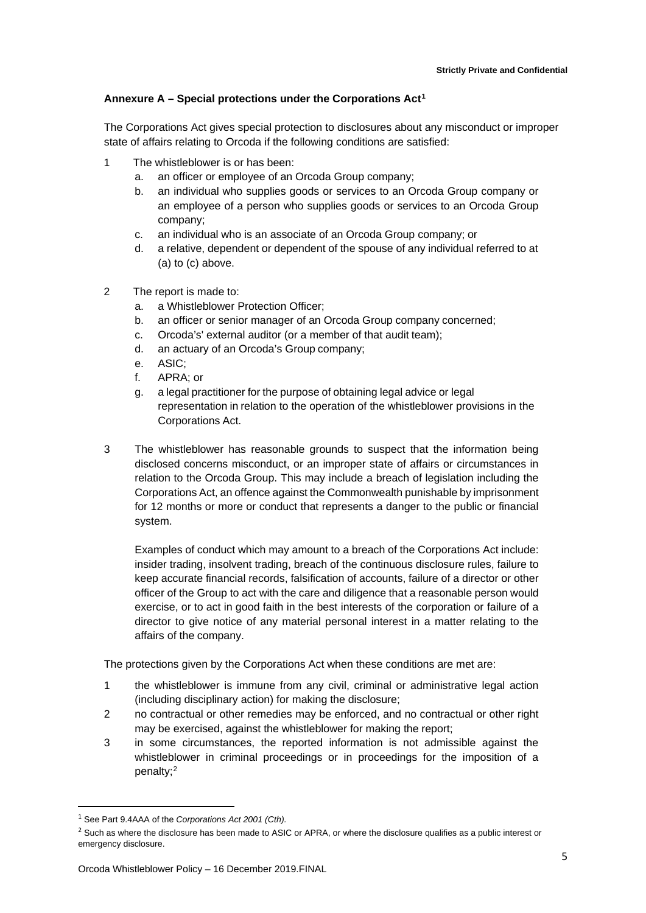# **Annexure A – Special protections under the Corporations Act[1](#page-4-0)**

The Corporations Act gives special protection to disclosures about any misconduct or improper state of affairs relating to Orcoda if the following conditions are satisfied:

- 1 The whistleblower is or has been:
	- a. an officer or employee of an Orcoda Group company;
	- b. an individual who supplies goods or services to an Orcoda Group company or an employee of a person who supplies goods or services to an Orcoda Group company;
	- c. an individual who is an associate of an Orcoda Group company; or
	- d. a relative, dependent or dependent of the spouse of any individual referred to at (a) to (c) above.
- 2 The report is made to:
	- a. a Whistleblower Protection Officer;
	- b. an officer or senior manager of an Orcoda Group company concerned;
	- c. Orcoda's' external auditor (or a member of that audit team);
	- d. an actuary of an Orcoda's Group company;
	- e. ASIC;
	- f. APRA; or
	- g. a legal practitioner for the purpose of obtaining legal advice or legal representation in relation to the operation of the whistleblower provisions in the Corporations Act.
- 3 The whistleblower has reasonable grounds to suspect that the information being disclosed concerns misconduct, or an improper state of affairs or circumstances in relation to the Orcoda Group. This may include a breach of legislation including the Corporations Act, an offence against the Commonwealth punishable by imprisonment for 12 months or more or conduct that represents a danger to the public or financial system.

Examples of conduct which may amount to a breach of the Corporations Act include: insider trading, insolvent trading, breach of the continuous disclosure rules, failure to keep accurate financial records, falsification of accounts, failure of a director or other officer of the Group to act with the care and diligence that a reasonable person would exercise, or to act in good faith in the best interests of the corporation or failure of a director to give notice of any material personal interest in a matter relating to the affairs of the company.

The protections given by the Corporations Act when these conditions are met are:

- 1 the whistleblower is immune from any civil, criminal or administrative legal action (including disciplinary action) for making the disclosure;
- 2 no contractual or other remedies may be enforced, and no contractual or other right may be exercised, against the whistleblower for making the report;
- 3 in some circumstances, the reported information is not admissible against the whistleblower in criminal proceedings or in proceedings for the imposition of a penalty;[2](#page-4-1)

<span id="page-4-0"></span> <sup>1</sup> See Part 9.4AAA of the *Corporations Act 2001 (Cth).*

<span id="page-4-1"></span><sup>&</sup>lt;sup>2</sup> Such as where the disclosure has been made to ASIC or APRA, or where the disclosure qualifies as a public interest or emergency disclosure.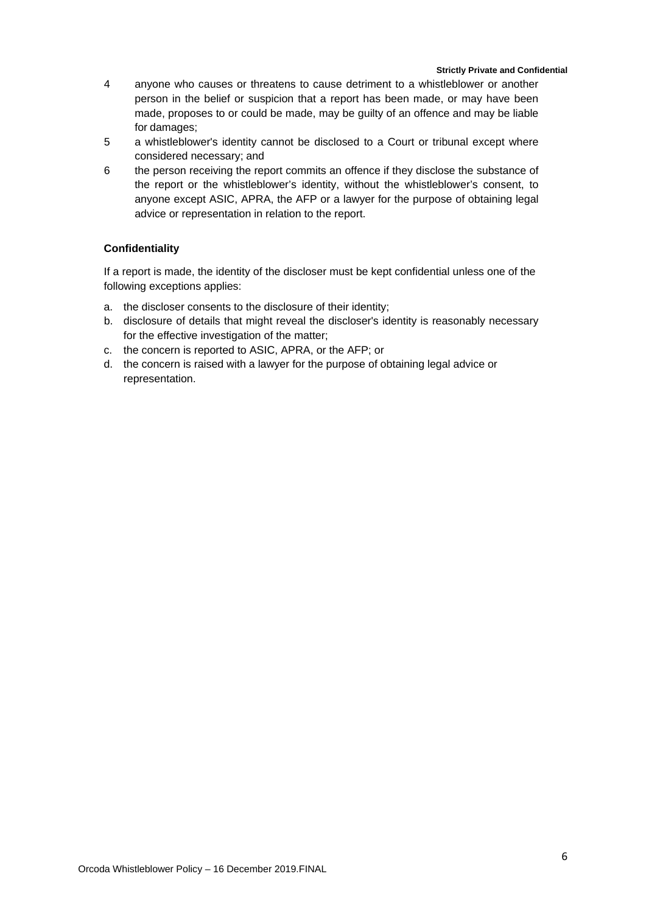#### **Strictly Private and Confidential**

- 4 anyone who causes or threatens to cause detriment to a whistleblower or another person in the belief or suspicion that a report has been made, or may have been made, proposes to or could be made, may be guilty of an offence and may be liable for damages;
- 5 a whistleblower's identity cannot be disclosed to a Court or tribunal except where considered necessary; and
- 6 the person receiving the report commits an offence if they disclose the substance of the report or the whistleblower's identity, without the whistleblower's consent, to anyone except ASIC, APRA, the AFP or a lawyer for the purpose of obtaining legal advice or representation in relation to the report.

# **Confidentiality**

If a report is made, the identity of the discloser must be kept confidential unless one of the following exceptions applies:

- a. the discloser consents to the disclosure of their identity;
- b. disclosure of details that might reveal the discloser's identity is reasonably necessary for the effective investigation of the matter;
- c. the concern is reported to ASIC, APRA, or the AFP; or
- d. the concern is raised with a lawyer for the purpose of obtaining legal advice or representation.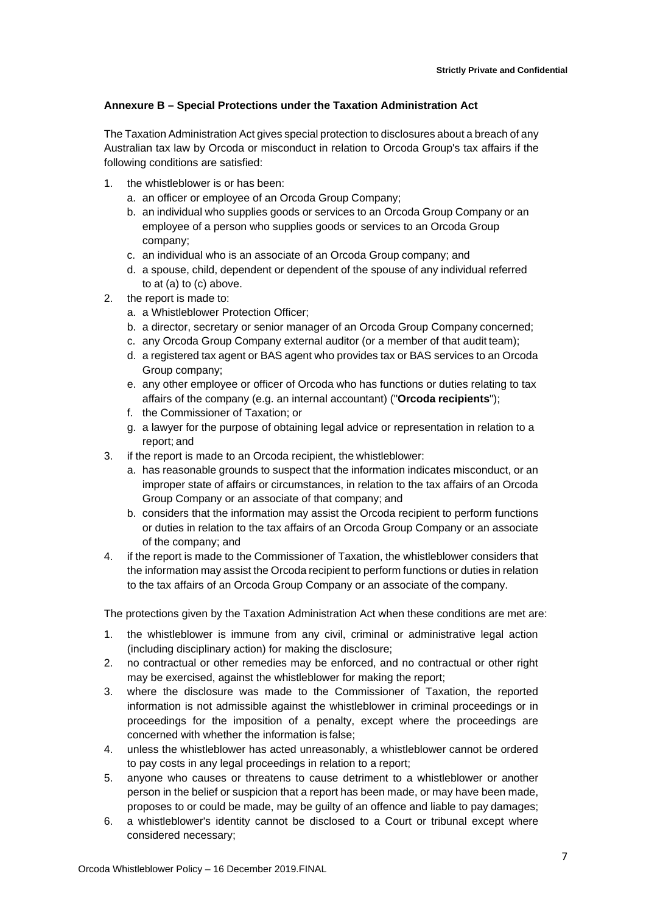# **Annexure B – Special Protections under the Taxation Administration Act**

The Taxation Administration Act gives special protection to disclosures about a breach of any Australian tax law by Orcoda or misconduct in relation to Orcoda Group's tax affairs if the following conditions are satisfied:

- 1. the whistleblower is or has been:
	- a. an officer or employee of an Orcoda Group Company;
	- b. an individual who supplies goods or services to an Orcoda Group Company or an employee of a person who supplies goods or services to an Orcoda Group company;
	- c. an individual who is an associate of an Orcoda Group company; and
	- d. a spouse, child, dependent or dependent of the spouse of any individual referred to at (a) to (c) above.
- 2. the report is made to:
	- a. a Whistleblower Protection Officer;
	- b. a director, secretary or senior manager of an Orcoda Group Company concerned;
	- c. any Orcoda Group Company external auditor (or a member of that audit team);
	- d. a registered tax agent or BAS agent who provides tax or BAS services to an Orcoda Group company;
	- e. any other employee or officer of Orcoda who has functions or duties relating to tax affairs of the company (e.g. an internal accountant) ("**Orcoda recipients**");
	- f. the Commissioner of Taxation; or
	- g. a lawyer for the purpose of obtaining legal advice or representation in relation to a report; and
- 3. if the report is made to an Orcoda recipient, the whistleblower:
	- a. has reasonable grounds to suspect that the information indicates misconduct, or an improper state of affairs or circumstances, in relation to the tax affairs of an Orcoda Group Company or an associate of that company; and
	- b. considers that the information may assist the Orcoda recipient to perform functions or duties in relation to the tax affairs of an Orcoda Group Company or an associate of the company; and
- 4. if the report is made to the Commissioner of Taxation, the whistleblower considers that the information may assist the Orcoda recipient to perform functions or duties in relation to the tax affairs of an Orcoda Group Company or an associate of the company.

The protections given by the Taxation Administration Act when these conditions are met are:

- 1. the whistleblower is immune from any civil, criminal or administrative legal action (including disciplinary action) for making the disclosure;
- 2. no contractual or other remedies may be enforced, and no contractual or other right may be exercised, against the whistleblower for making the report;
- 3. where the disclosure was made to the Commissioner of Taxation, the reported information is not admissible against the whistleblower in criminal proceedings or in proceedings for the imposition of a penalty, except where the proceedings are concerned with whether the information is false;
- 4. unless the whistleblower has acted unreasonably, a whistleblower cannot be ordered to pay costs in any legal proceedings in relation to a report;
- 5. anyone who causes or threatens to cause detriment to a whistleblower or another person in the belief or suspicion that a report has been made, or may have been made, proposes to or could be made, may be guilty of an offence and liable to pay damages;
- 6. a whistleblower's identity cannot be disclosed to a Court or tribunal except where considered necessary;